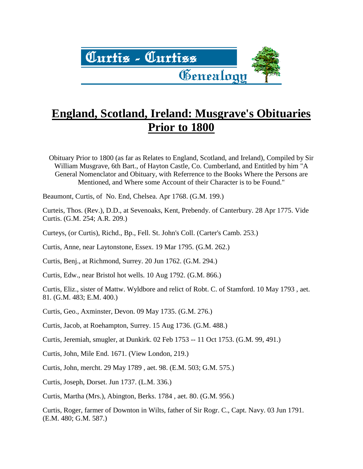

# **England, Scotland, Ireland: Musgrave's Obituaries Prior to 1800**

Obituary Prior to 1800 (as far as Relates to England, Scotland, and Ireland), Compiled by Sir William Musgrave, 6th Bart., of Hayton Castle, Co. Cumberland, and Entitled by him "A General Nomenclator and Obituary, with Referrence to the Books Where the Persons are Mentioned, and Where some Account of their Character is to be Found."

Beaumont, Curtis, of No. End, Chelsea. Apr 1768. (G.M. 199.)

Curteis, Thos. (Rev.), D.D., at Sevenoaks, Kent, Prebendy. of Canterbury. 28 Apr 1775. Vide Curtis. (G.M. 254; A.R. 209.)

Curteys, (or Curtis), Richd., Bp., Fell. St. John's Coll. (Carter's Camb. 253.)

Curtis, Anne, near Laytonstone, Essex. 19 Mar 1795. (G.M. 262.)

Curtis, Benj., at Richmond, Surrey. 20 Jun 1762. (G.M. 294.)

Curtis, Edw., near Bristol hot wells. 10 Aug 1792. (G.M. 866.)

Curtis, Eliz., sister of Mattw. Wyldbore and relict of Robt. C. of Stamford. 10 May 1793 , aet. 81. (G.M. 483; E.M. 400.)

Curtis, Geo., Axminster, Devon. 09 May 1735. (G.M. 276.)

Curtis, Jacob, at Roehampton, Surrey. 15 Aug 1736. (G.M. 488.)

Curtis, Jeremiah, smugler, at Dunkirk. 02 Feb 1753 -- 11 Oct 1753. (G.M. 99, 491.)

Curtis, John, Mile End. 1671. (View London, 219.)

Curtis, John, mercht. 29 May 1789 , aet. 98. (E.M. 503; G.M. 575.)

Curtis, Joseph, Dorset. Jun 1737. (L.M. 336.)

Curtis, Martha (Mrs.), Abington, Berks. 1784 , aet. 80. (G.M. 956.)

Curtis, Roger, farmer of Downton in Wilts, father of Sir Rogr. C., Capt. Navy. 03 Jun 1791. (E.M. 480; G.M. 587.)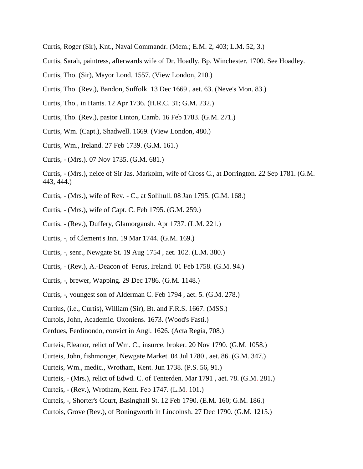- Curtis, Roger (Sir), Knt., Naval Commandr. (Mem.; E.M. 2, 403; L.M. 52, 3.)
- Curtis, Sarah, paintress, afterwards wife of Dr. Hoadly, Bp. Winchester. 1700. See Hoadley.
- Curtis, Tho. (Sir), Mayor Lond. 1557. (View London, 210.)
- Curtis, Tho. (Rev.), Bandon, Suffolk. 13 Dec 1669 , aet. 63. (Neve's Mon. 83.)
- Curtis, Tho., in Hants. 12 Apr 1736. (H.R.C. 31; G.M. 232.)
- Curtis, Tho. (Rev.), pastor Linton, Camb. 16 Feb 1783. (G.M. 271.)
- Curtis, Wm. (Capt.), Shadwell. 1669. (View London, 480.)
- Curtis, Wm., Ireland. 27 Feb 1739. (G.M. 161.)
- Curtis, (Mrs.). 07 Nov 1735. (G.M. 681.)
- Curtis, (Mrs.), neice of Sir Jas. Markolm, wife of Cross C., at Dorrington. 22 Sep 1781. (G.M. 443, 444.)
- Curtis, (Mrs.), wife of Rev. C., at Solihull. 08 Jan 1795. (G.M. 168.)
- Curtis, (Mrs.), wife of Capt. C. Feb 1795. (G.M. 259.)
- Curtis, (Rev.), Duffery, Glamorgansh. Apr 1737. (L.M. 221.)
- Curtis, -, of Clement's Inn. 19 Mar 1744. (G.M. 169.)
- Curtis, -, senr., Newgate St. 19 Aug 1754 , aet. 102. (L.M. 380.)
- Curtis, (Rev.), A.-Deacon of Ferus, Ireland. 01 Feb 1758. (G.M. 94.)
- Curtis, -, brewer, Wapping. 29 Dec 1786. (G.M. 1148.)
- Curtis, -, youngest son of Alderman C. Feb 1794 , aet. 5. (G.M. 278.)
- Curtius, (i.e., Curtis), William (Sir), Bt. and F.R.S. 1667. (MSS.)
- Curtois, John, Academic. Oxoniens. 1673. (Wood's Fasti.)
- Cerdues, Ferdinondo, convict in Angl. 1626. (Acta Regia, 708.)
- Curteis, Eleanor, relict of Wm. C., insurce. broker. 20 Nov 1790. (G.M. 1058.)
- Curteis, John, fishmonger, Newgate Market. 04 Jul 1780 , aet. 86. (G.M. 347.)
- Curteis, Wm., medic., Wrotham, Kent. Jun 1738. (P.S. 56, 91.)
- Curteis, (Mrs.), relict of Edwd. C. of Tenterden. Mar 1791 , aet. 78. (G.M. 281.)
- Curteis, (Rev.), Wrotham, Kent. Feb 1747. (L.M. 101.)
- Curteis, -, Shorter's Court, Basinghall St. 12 Feb 1790. (E.M. 160; G.M. 186.)
- Curtois, Grove (Rev.), of Boningworth in Lincolnsh. 27 Dec 1790. (G.M. 1215.)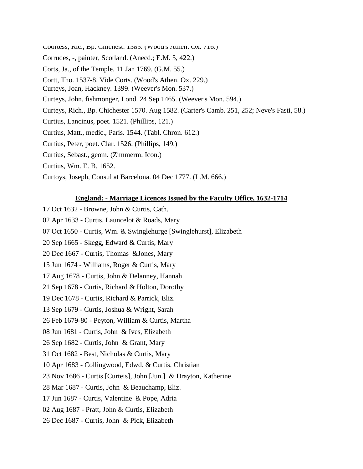- Coortess, Ric., Bp. Chichest. 1585. (Wood's Athen. Ox. 716.)
- Corrudes, -, painter, Scotland. (Anecd.; E.M. 5, 422.)
- Corts, Ja., of the Temple. 11 Jan 1769. (G.M. 55.)
- Cortt, Tho. 1537-8. Vide Corts. (Wood's Athen. Ox. 229.)
- Curteys, Joan, Hackney. 1399. (Weever's Mon. 537.)
- Curteys, John, fishmonger, Lond. 24 Sep 1465. (Weever's Mon. 594.)
- Curteys, Rich., Bp. Chichester 1570. Aug 1582. (Carter's Camb. 251, 252; Neve's Fasti, 58.)
- Curtius, Lancinus, poet. 1521. (Phillips, 121.)
- Curtius, Matt., medic., Paris. 1544. (Tabl. Chron. 612.)
- Curtius, Peter, poet. Clar. 1526. (Phillips, 149.)
- Curtius, Sebast., geom. (Zimmerm. Icon.)
- Curtius, Wm. E. B. 1652.
- Curtoys, Joseph, Consul at Barcelona. 04 Dec 1777. (L.M. 666.)

#### **England: - Marriage Licences Issued by the Faculty Office, 1632-1714**

- 17 Oct 1632 Browne, John & Curtis, Cath.
- 02 Apr 1633 Curtis, Launcelot & Roads, Mary
- 07 Oct 1650 Curtis, Wm. & Swinglehurge [Swinglehurst], Elizabeth
- 20 Sep 1665 Skegg, Edward & Curtis, Mary
- 20 Dec 1667 Curtis, Thomas &Jones, Mary
- 15 Jun 1674 Williams, Roger & Curtis, Mary
- 17 Aug 1678 Curtis, John & Delanney, Hannah
- 21 Sep 1678 Curtis, Richard & Holton, Dorothy
- 19 Dec 1678 Curtis, Richard & Parrick, Eliz.
- 13 Sep 1679 Curtis, Joshua & Wright, Sarah
- 26 Feb 1679-80 Peyton, William & Curtis, Martha
- 08 Jun 1681 Curtis, John & Ives, Elizabeth
- 26 Sep 1682 Curtis, John & Grant, Mary
- 31 Oct 1682 Best, Nicholas & Curtis, Mary
- 10 Apr 1683 Collingwood, Edwd. & Curtis, Christian
- 23 Nov 1686 Curtis [Curteis], John [Jun.] & Drayton, Katherine
- 28 Mar 1687 Curtis, John & Beauchamp, Eliz.
- 17 Jun 1687 Curtis, Valentine & Pope, Adria
- 02 Aug 1687 Pratt, John & Curtis, Elizabeth
- 26 Dec 1687 Curtis, John & Pick, Elizabeth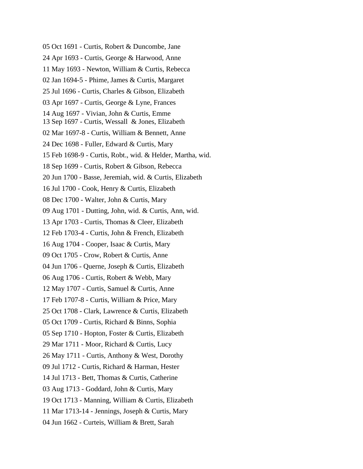- 05 Oct 1691 Curtis, Robert & Duncombe, Jane
- 24 Apr 1693 Curtis, George & Harwood, Anne
- 11 May 1693 Newton, William & Curtis, Rebecca
- 02 Jan 1694-5 Phime, James & Curtis, Margaret
- 25 Jul 1696 Curtis, Charles & Gibson, Elizabeth
- 03 Apr 1697 Curtis, George & Lyne, Frances
- 14 Aug 1697 Vivian, John & Curtis, Emme
- 13 Sep 1697 Curtis, Wessall & Jones, Elizabeth
- 02 Mar 1697-8 Curtis, William & Bennett, Anne
- 24 Dec 1698 Fuller, Edward & Curtis, Mary
- 15 Feb 1698-9 Curtis, Robt., wid. & Helder, Martha, wid.
- 18 Sep 1699 Curtis, Robert & Gibson, Rebecca
- 20 Jun 1700 Basse, Jeremiah, wid. & Curtis, Elizabeth
- 16 Jul 1700 Cook, Henry & Curtis, Elizabeth
- 08 Dec 1700 Walter, John & Curtis, Mary
- 09 Aug 1701 Dutting, John, wid. & Curtis, Ann, wid.
- 13 Apr 1703 Curtis, Thomas & Cleer, Elizabeth
- 12 Feb 1703-4 Curtis, John & French, Elizabeth
- 16 Aug 1704 Cooper, Isaac & Curtis, Mary
- 09 Oct 1705 Crow, Robert & Curtis, Anne
- 04 Jun 1706 Querne, Joseph & Curtis, Elizabeth
- 06 Aug 1706 Curtis, Robert & Webb, Mary
- 12 May 1707 Curtis, Samuel & Curtis, Anne
- 17 Feb 1707-8 Curtis, William & Price, Mary
- 25 Oct 1708 Clark, Lawrence & Curtis, Elizabeth
- 05 Oct 1709 Curtis, Richard & Binns, Sophia
- 05 Sep 1710 Hopton, Foster & Curtis, Elizabeth
- 29 Mar 1711 Moor, Richard & Curtis, Lucy
- 26 May 1711 Curtis, Anthony & West, Dorothy
- 09 Jul 1712 Curtis, Richard & Harman, Hester
- 14 Jul 1713 Bett, Thomas & Curtis, Catherine
- 03 Aug 1713 Goddard, John & Curtis, Mary
- 19 Oct 1713 Manning, William & Curtis, Elizabeth
- 11 Mar 1713-14 Jennings, Joseph & Curtis, Mary
- 04 Jun 1662 Curteis, William & Brett, Sarah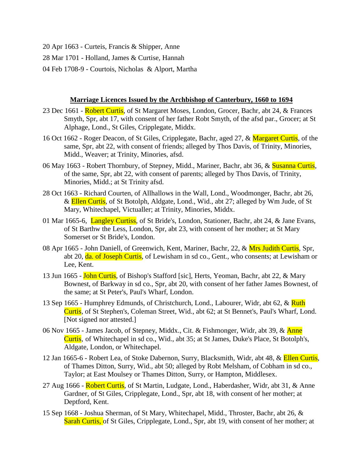- 20 Apr 1663 Curteis, Francis & Shipper, Anne
- 28 Mar 1701 Holland, James & Curtise, Hannah
- 04 Feb 1708-9 Courtois, Nicholas & Alport, Martha

#### **Marriage Licences Issued by the Archbishop of Canterbury, 1660 to 1694**

- 23 Dec 1661 Robert Curtis, of St Margaret Moses, London, Grocer, Bachr, abt 24, & Frances Smyth, Spr, abt 17, with consent of her father Robt Smyth, of the afsd par., Grocer; at St Alphage, Lond., St Giles, Cripplegate, Middx.
- 16 Oct 1662 Roger Deacon, of St Giles, Cripplegate, Bachr, aged 27, & Margaret Curtis, of the same, Spr, abt 22, with consent of friends; alleged by Thos Davis, of Trinity, Minories, Midd., Weaver; at Trinity, Minories, afsd.
- 06 May 1663 Robert Thornbury, of Stepney, Midd., Mariner, Bachr, abt 36, & Susanna Curtis, of the same, Spr, abt 22, with consent of parents; alleged by Thos Davis, of Trinity, Minories, Midd.; at St Trinity afsd.
- 28 Oct 1663 Richard Courten, of Allhallows in the Wall, Lond., Woodmonger, Bachr, abt 26, & Ellen Curtis, of St Botolph, Aldgate, Lond., Wid., abt 27; alleged by Wm Jude, of St Mary, Whitechapel, Victualler; at Trinity, Minories, Middx.
- 01 Mar 1665-6, Langley Curtiss, of St Bride's, London, Stationer, Bachr, abt 24, & Jane Evans, of St Barthw the Less, London, Spr, abt 23, with consent of her mother; at St Mary Somerset or St Bride's, London.
- 08 Apr 1665 John Daniell, of Greenwich, Kent, Mariner, Bachr, 22, & Mrs Judith Curtis, Spr. abt 20, da. of Joseph Curtis, of Lewisham in sd co., Gent., who consents; at Lewisham or Lee, Kent.
- 13 Jun 1665 John Curtis, of Bishop's Stafford [sic], Herts, Yeoman, Bachr, abt 22, & Mary Bownest, of Barkway in sd co., Spr, abt 20, with consent of her father James Bownest, of the same; at St Peter's, Paul's Wharf, London.
- 13 Sep 1665 Humphrey Edmunds, of Christchurch, Lond., Labourer, Widr, abt 62, & Ruth Curtis, of St Stephen's, Coleman Street, Wid., abt 62; at St Bennet's, Paul's Wharf, Lond. [Not signed nor attested.]
- 06 Nov 1665 James Jacob, of Stepney, Middx., Cit. & Fishmonger, Widr, abt 39, & Anne Curtis, of Whitechapel in sd co., Wid., abt 35; at St James, Duke's Place, St Botolph's, Aldgate, London, or Whitechapel.
- 12 Jan 1665-6 Robert Lea, of Stoke Dabernon, Surry, Blacksmith, Widr, abt 48, & Ellen Curtis, of Thames Ditton, Surry, Wid., abt 50; alleged by Robt Melsham, of Cobham in sd co., Taylor; at East Moulsey or Thames Ditton, Surry, or Hampton, Middlesex.
- 27 Aug 1666 Robert Curtis, of St Martin, Ludgate, Lond., Haberdasher, Widr, abt 31, & Anne Gardner, of St Giles, Cripplegate, Lond., Spr, abt 18, with consent of her mother; at Deptford, Kent.
- 15 Sep 1668 Joshua Sherman, of St Mary, Whitechapel, Midd., Throster, Bachr, abt 26, & Sarah Curtis, of St Giles, Cripplegate, Lond., Spr, abt 19, with consent of her mother; at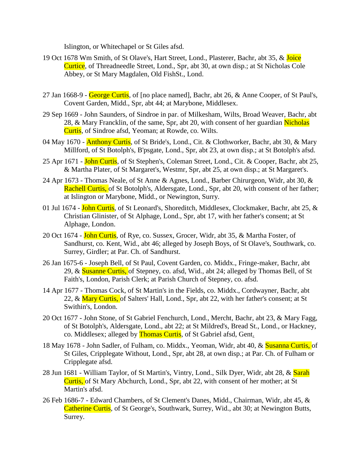Islington, or Whitechapel or St Giles afsd.

- 19 Oct 1678 Wm Smith, of St Olave's, Hart Street, Lond., Plasterer, Bachr, abt 35, & Joice Curtice, of Threadneedle Street, Lond., Spr, abt 30, at own disp.; at St Nicholas Cole Abbey, or St Mary Magdalen, Old FishSt., Lond.
- 27 Jan 1668-9 George Curtis, of [no place named], Bachr, abt 26, & Anne Cooper, of St Paul's, Covent Garden, Midd., Spr, abt 44; at Marybone, Middlesex.
- 29 Sep 1669 John Saunders, of Sindroe in par. of Milkesham, Wilts, Broad Weaver, Bachr, abt 28, & Mary Francklin, of the same, Spr, abt 20, with consent of her guardian Nicholas Curtis, of Sindroe afsd, Yeoman; at Rowde, co. Wilts.
- 04 May 1670 **Anthony Curtis**, of St Bride's, Lond., Cit. & Clothworker, Bachr, abt 30, & Mary Millford, of St Botolph's, B'psgate, Lond., Spr, abt 23, at own disp.; at St Botolph's afsd.
- 25 Apr 1671 John Curtis, of St Stephen's, Coleman Street, Lond., Cit. & Cooper, Bachr, abt 25, & Martha Plater, of St Margaret's, Westmr, Spr, abt 25, at own disp.; at St Margaret's.
- 24 Apr 1673 Thomas Neale, of St Anne & Agnes, Lond., Barber Chirurgeon, Widr, abt 30, & Rachell Curtis, of St Botolph's, Aldersgate, Lond., Spr, abt 20, with consent of her father; at Islington or Marybone, Midd., or Newington, Surry.
- 01 Jul 1674 John Curtis, of St Leonard's, Shoreditch, Middlesex, Clockmaker, Bachr, abt 25, & Christian Glinister, of St Alphage, Lond., Spr, abt 17, with her father's consent; at St Alphage, London.
- 20 Oct 1674 John Curtis, of Rye, co. Sussex, Grocer, Widr, abt 35, & Martha Foster, of Sandhurst, co. Kent, Wid., abt 46; alleged by Joseph Boys, of St Olave's, Southwark, co. Surrey, Girdler; at Par. Ch. of Sandhurst.
- 26 Jan 1675-6 Joseph Bell, of St Paul, Covent Garden, co. Middx., Fringe-maker, Bachr, abt 29, & Susanne Curtis, of Stepney, co. afsd, Wid., abt 24; alleged by Thomas Bell, of St Faith's, London, Parish Clerk; at Parish Church of Stepney, co. afsd.
- 14 Apr 1677 Thomas Cock, of St Martin's in the Fields, co. Middx., Cordwayner, Bachr, abt 22, & Mary Curtis, of Salters' Hall, Lond., Spr, abt 22, with her father's consent; at St Swithin's, London.
- 20 Oct 1677 John Stone, of St Gabriel Fenchurch, Lond., Mercht, Bachr, abt 23, & Mary Fagg, of St Botolph's, Aldersgate, Lond., abt 22; at St Mildred's, Bread St., Lond., or Hackney, co. Middlesex; alleged by **Thomas Curtis**, of St Gabriel afsd, Gent.
- 18 May 1678 John Sadler, of Fulham, co. Middx., Yeoman, Widr, abt 40, & Susanna Curtis, of St Giles, Cripplegate Without, Lond., Spr, abt 28, at own disp.; at Par. Ch. of Fulham or Cripplegate afsd.
- 28 Jun 1681 William Taylor, of St Martin's, Vintry, Lond., Silk Dyer, Widr, abt 28, & Sarah Curtis, of St Mary Abchurch, Lond., Spr, abt 22, with consent of her mother; at St Martin's afsd.
- 26 Feb 1686-7 Edward Chambers, of St Clement's Danes, Midd., Chairman, Widr, abt 45, & Catherine Curtis, of St George's, Southwark, Surrey, Wid., abt 30; at Newington Butts, Surrey.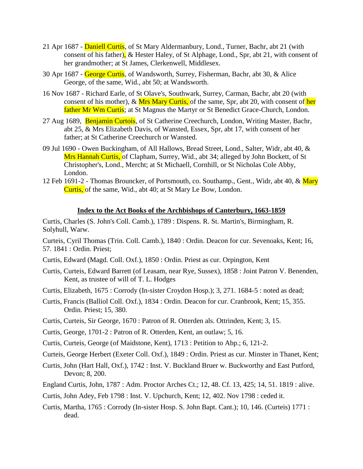- 21 Apr 1687 Daniell Curtis, of St Mary Aldermanbury, Lond., Turner, Bachr, abt 21 (with consent of his father), & Hester Haley, of St Alphage, Lond., Spr, abt 21, with consent of her grandmother; at St James, Clerkenwell, Middlesex.
- 30 Apr 1687 George Curtis, of Wandsworth, Surrey, Fisherman, Bachr, abt 30, & Alice George, of the same, Wid., abt 50; at Wandsworth.
- 16 Nov 1687 Richard Earle, of St Olave's, Southwark, Surrey, Carman, Bachr, abt 20 (with consent of his mother), & Mrs Mary Curtis, of the same, Spr, abt 20, with consent of her father Mr Wm Curtis; at St Magnus the Martyr or St Benedict Grace-Church, London.
- 27 Aug 1689, Benjamin Curtois, of St Catherine Creechurch, London, Writing Master, Bachr, abt 25, & Mrs Elizabeth Davis, of Wansted, Essex, Spr, abt 17, with consent of her father; at St Catherine Creechurch or Wansted.
- 09 Jul 1690 Owen Buckingham, of All Hallows, Bread Street, Lond., Salter, Widr, abt 40, & Mrs Hannah Curtis, of Clapham, Surrey, Wid., abt 34; alleged by John Bockett, of St Christopher's, Lond., Mercht; at St Michaell, Cornhill, or St Nicholas Cole Abby, London.
- 12 Feb 1691-2 Thomas Brouncker, of Portsmouth, co. Southamp., Gent., Widr, abt 40, & Mary Curtis, of the same, Wid., abt 40; at St Mary Le Bow, London.

#### **Index to the Act Books of the Archbishops of Canterbury, 1663-1859**

Curtis, Charles (S. John's Coll. Camb.), 1789 : Dispens. R. St. Martin's, Birmingham, R. Solyhull, Warw.

Curteis, Cyril Thomas (Trin. Coll. Camb.), 1840 : Ordin. Deacon for cur. Sevenoaks, Kent; 16, 57. 1841 : Ordin. Priest;

- Curtis, Edward (Magd. Coll. Oxf.), 1850 : Ordin. Priest as cur. Orpington, Kent
- Curtis, Curteis, Edward Barrett (of Leasam, near Rye, Sussex), 1858 : Joint Patron V. Benenden, Kent, as trustee of will of T. L. Hodges
- Curtis, Elizabeth, 1675 : Corrody (In-sister Croydon Hosp.); 3, 271. 1684-5 : noted as dead;
- Curtis, Francis (Balliol Coll. Oxf.), 1834 : Ordin. Deacon for cur. Cranbrook, Kent; 15, 355. Ordin. Priest; 15, 380.
- Curtis, Curteis, Sir George, 1670 : Patron of R. Otterden als. Ottrinden, Kent; 3, 15.
- Curtis, George, 1701-2 : Patron of R. Otterden, Kent, an outlaw; 5, 16.
- Curtis, Curteis, George (of Maidstone, Kent), 1713 : Petition to Abp.; 6, 121-2.
- Curteis, George Herbert (Exeter Coll. Oxf.), 1849 : Ordin. Priest as cur. Minster in Thanet, Kent;
- Curtis, John (Hart Hall, Oxf.), 1742 : Inst. V. Buckland Bruer w. Buckworthy and East Putford, Devon; 8, 200.
- England Curtis, John, 1787 : Adm. Proctor Arches Ct.; 12, 48. Cf. 13, 425; 14, 51. 1819 : alive.
- Curtis, John Adey, Feb 1798 : Inst. V. Upchurch, Kent; 12, 402. Nov 1798 : ceded it.
- Curtis, Martha, 1765 : Corrody (In-sister Hosp. S. John Bapt. Cant.); 10, 146. (Curteis) 1771 : dead.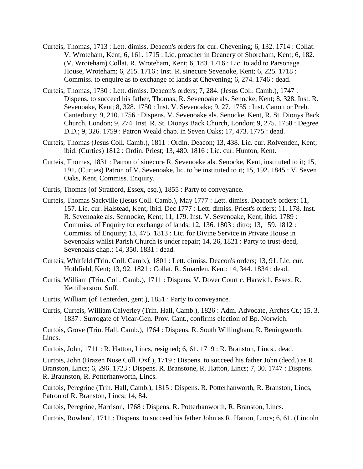- Curteis, Thomas, 1713 : Lett. dimiss. Deacon's orders for cur. Chevening; 6, 132. 1714 : Collat. V. Wroteham, Kent; 6, 161. 1715 : Lic. preacher in Deanery of Shoreham, Kent; 6, 182. (V. Wroteham) Collat. R. Wroteham, Kent; 6, 183. 1716 : Lic. to add to Parsonage House, Wroteham; 6, 215. 1716 : Inst. R. sinecure Sevenoke, Kent; 6, 225. 1718 : Commiss. to enquire as to exchange of lands at Chevening; 6, 274. 1746 : dead.
- Curteis, Thomas, 1730 : Lett. dimiss. Deacon's orders; 7, 284. (Jesus Coll. Camb.), 1747 : Dispens. to succeed his father, Thomas, R. Sevenoake als. Senocke, Kent; 8, 328. Inst. R. Sevenoake, Kent; 8, 328. 1750 : Inst. V. Sevenoake; 9, 27. 1755 : Inst. Canon or Preb. Canterbury; 9, 210. 1756 : Dispens. V. Sevenoake als. Senocke, Kent, R. St. Dionys Back Church, London; 9, 274. Inst. R. St. Dionys Back Church, London; 9, 275. 1758 : Degree D.D.; 9, 326. 1759 : Patron Weald chap. in Seven Oaks; 17, 473. 1775 : dead.
- Curteis, Thomas (Jesus Coll. Camb.), 1811 : Ordin. Deacon; 13, 438. Lic. cur. Rolvenden, Kent; ibid. (Curties) 1812 : Ordin. Priest; 13, 480. 1816 : Lic. cur. Hunton, Kent.
- Curteis, Thomas, 1831 : Patron of sinecure R. Sevenoake als. Senocke, Kent, instituted to it; 15, 191. (Curties) Patron of V. Sevenoake, lic. to be instituted to it; 15, 192. 1845 : V. Seven Oaks, Kent, Commiss. Enquiry.
- Curtis, Thomas (of Stratford, Essex, esq.), 1855 : Party to conveyance.
- Curteis, Thomas Sackville (Jesus Coll. Camb.), May 1777 : Lett. dimiss. Deacon's orders: 11, 157. Lic. cur. Halstead, Kent; ibid. Dec 1777 : Lett. dimiss. Priest's orders; 11, 178. Inst. R. Sevenoake als. Sennocke, Kent; 11, 179. Inst. V. Sevenoake, Kent; ibid. 1789 : Commiss. of Enquiry for exchange of lands; 12, 136. 1803 : ditto; 13, 159. 1812 : Commiss. of Enquiry; 13, 475. 1813 : Lic. for Divine Service in Private House in Sevenoaks whilst Parish Church is under repair; 14, 26, 1821 : Party to trust-deed, Sevenoaks chap.; 14, 350. 1831 : dead.
- Curteis, Whitfeld (Trin. Coll. Camb.), 1801 : Lett. dimiss. Deacon's orders; 13, 91. Lic. cur. Hothfield, Kent; 13, 92. 1821 : Collat. R. Smarden, Kent: 14, 344. 1834 : dead.
- Curtis, William (Trin. Coll. Camb.), 1711 : Dispens. V. Dover Court c. Harwich, Essex, R. Kettilbarston, Suff.
- Curtis, William (of Tenterden, gent.), 1851 : Party to conveyance.
- Curtis, Curteis, William Calverley (Trin. Hall, Camb.), 1826 : Adm. Advocate, Arches Ct.; 15, 3. 1837 : Surrogate of Vicar-Gen. Prov. Cant., confirms election of Bp. Norwich.

Curtois, Grove (Trin. Hall, Camb.), 1764 : Dispens. R. South Willingham, R. Beningworth, Lincs.

Curtois, John, 1711 : R. Hatton, Lincs, resigned; 6, 61. 1719 : R. Branston, Lincs., dead.

Curtois, John (Brazen Nose Coll. Oxf.), 1719 : Dispens. to succeed his father John (decd.) as R. Branston, Lincs; 6, 296. 1723 : Dispens. R. Branstone, R. Hatton, Lincs; 7, 30. 1747 : Dispens. R. Braunston, R. Potterhanworth, Lincs.

Curtois, Peregrine (Trin. Hall, Camb.), 1815 : Dispens. R. Potterhanworth, R. Branston, Lincs, Patron of R. Branston, Lincs; 14, 84.

Curtois, Peregrine, Harrison, 1768 : Dispens. R. Potterhanworth, R. Branston, Lincs.

Curtois, Rowland, 1711 : Dispens. to succeed his father John as R. Hatton, Lincs; 6, 61. (Lincoln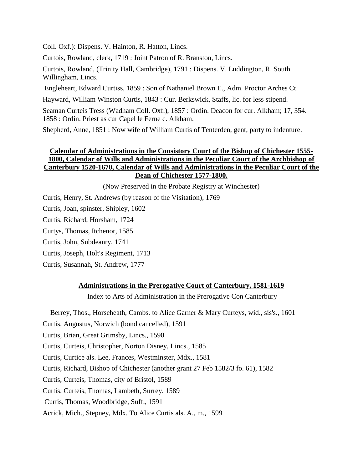Coll. Oxf.): Dispens. V. Hainton, R. Hatton, Lincs.

Curtois, Rowland, clerk, 1719 : Joint Patron of R. Branston, Lincs.

Curtois, Rowland, (Trinity Hall, Cambridge), 1791 : Dispens. V. Luddington, R. South Willingham, Lincs.

Engleheart, Edward Curtiss, 1859 : Son of Nathaniel Brown E., Adm. Proctor Arches Ct.

Hayward, William Winston Curtis, 1843 : Cur. Berkswick, Staffs, lic. for less stipend.

Seaman Curteis Tress (Wadham Coll. Oxf.), 1857 : Ordin. Deacon for cur. Alkham; 17, 354. 1858 : Ordin. Priest as cur Capel le Ferne c. Alkham.

Shepherd, Anne, 1851 : Now wife of William Curtis of Tenterden, gent, party to indenture.

# **Calendar of Administrations in the Consistory Court of the Bishop of Chichester 1555- 1800, Calendar of Wills and Administrations in the Peculiar Court of the Archbishop of Canterbury 1520-1670, Calendar of Wills and Administrations in the Peculiar Court of the Dean of Chichester 1577-1800.**

(Now Preserved in the Probate Registry at Winchester)

Curtis, Henry, St. Andrews (by reason of the Visitation), 1769

Curtis, Joan, spinster, Shipley, 1602

Curtis, Richard, Horsham, 1724

Curtys, Thomas, Itchenor, 1585

Curtis, John, Subdeanry, 1741

Curtis, Joseph, Holt's Regiment, 1713

Curtis, Susannah, St. Andrew, 1777

# **Administrations in the Prerogative Court of Canterbury, 1581-1619**

Index to Arts of Administration in the Prerogative Con Canterbury

Berrey, Thos., Horseheath, Cambs. to Alice Garner & Mary Curteys, wid., sis's., 1601

Curtis, Augustus, Norwich (bond cancelled), 1591

Curtis, Brian, Great Grimsby, Lincs., 1590

Curtis, Curteis, Christopher, Norton Disney, Lincs., 1585

Curtis, Curtice als. Lee, Frances, Westminster, Mdx., 1581

Curtis, Richard, Bishop of Chichester (another grant 27 Feb 1582/3 fo. 61), 1582

Curtis, Curteis, Thomas, city of Bristol, 1589

Curtis, Curteis, Thomas, Lambeth, Surrey, 1589

Curtis, Thomas, Woodbridge, Suff., 1591

Acrick, Mich., Stepney, Mdx. To Alice Curtis als. A., m., 1599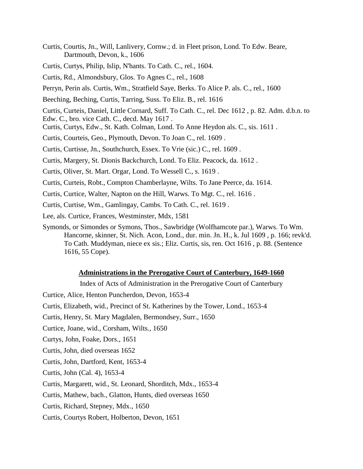Curtis, Courtis, Jn., Will, Lanlivery, Cornw.; d. in Fleet prison, Lond. To Edw. Beare, Dartmouth, Devon, k., 1606

Curtis, Curtys, Philip, Islip, N'hants. To Cath. C., rel., 1604.

Curtis, Rd., Almondsbury, Glos. To Agnes C., rel., 1608

Perryn, Perin als. Curtis, Wm., Stratfield Saye, Berks. To Alice P. als. C., rel., 1600

Beeching, Beching, Curtis, Tarring, Suss. To Eliz. B., rel. 1616

Curtis, Curteis, Daniel, Little Cornard, Suff. To Cath. C., rel. Dec 1612 , p. 82. Adm. d.b.n. to Edw. C., bro. vice Cath. C., decd. May 1617 .

Curtis, Curtys, Edw., St. Kath. Colman, Lond. To Anne Heydon als. C., sis. 1611 .

Curtis, Courteis, Geo., Plymouth, Devon. To Joan C., rel. 1609 .

Curtis, Curtisse, Jn., Southchurch, Essex. To Vrie (sic.) C., rel. 1609 .

Curtis, Margery, St. Dionis Backchurch, Lond. To Eliz. Peacock, da. 1612 .

Curtis, Oliver, St. Mart. Orgar, Lond. To Wessell C., s. 1619 .

Curtis, Curteis, Robt., Compton Chamberlayne, Wilts. To Jane Peerce, da. 1614.

Curtis, Curtice, Walter, Napton on the Hill, Warws. To Mgt. C., rel. 1616 .

Curtis, Curtise, Wm., Gamlingay, Cambs. To Cath. C., rel. 1619 .

Lee, als. Curtice, Frances, Westminster, Mdx, 1581

Symonds, or Simondes or Symons, Thos., Sawbridge (Wolfhamcote par.), Warws. To Wm. Hancorne, skinner, St. Nich. Acon, Lond., dur. min. Jn. H., k. Jul 1609 , p. 166; revk'd. To Cath. Muddyman, niece ex sis.; Eliz. Curtis, sis, ren. Oct 1616 , p. 88. (Sentence 1616, 55 Cope).

#### **Administrations in the Prerogative Court of Canterbury, 1649-1660**

Index of Acts of Administration in the Prerogative Court of Canterbury

Curtice, Alice, Henton Puncherdon, Devon, 1653-4

Curtis, Elizabeth, wid., Precinct of St. Katherines by the Tower, Lond., 1653-4

Curtis, Henry, St. Mary Magdalen, Bermondsey, Surr., 1650

Curtice, Joane, wid., Corsham, Wilts., 1650

Curtys, John, Foake, Dors., 1651

Curtis, John, died overseas 1652

Curtis, John, Dartford, Kent, 1653-4

Curtis, John (Cal. 4), 1653-4

Curtis, Margarett, wid., St. Leonard, Shorditch, Mdx., 1653-4

Curtis, Mathew, bach., Glatton, Hunts, died overseas 1650

Curtis, Richard, Stepney, Mdx., 1650

Curtis, Courtys Robert, Holberton, Devon, 1651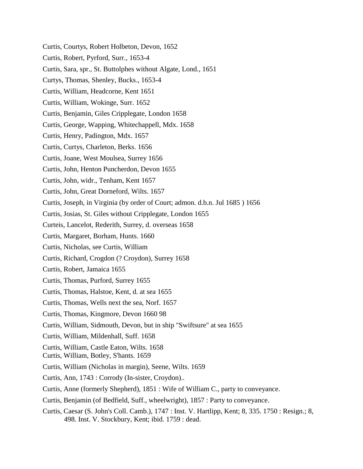- Curtis, Courtys, Robert Holbeton, Devon, 1652 Curtis, Robert, Pyrford, Surr., 1653-4 Curtis, Sara, spr., St. Buttolphes without Algate, Lond., 1651 Curtys, Thomas, Shenley, Bucks., 1653-4 Curtis, William, Headcorne, Kent 1651 Curtis, William, Wokinge, Surr. 1652 Curtis, Benjamin, Giles Cripplegate, London 1658 Curtis, George, Wapping, Whitechappell, Mdx. 1658 Curtis, Henry, Padington, Mdx. 1657 Curtis, Curtys, Charleton, Berks. 1656 Curtis, Joane, West Moulsea, Surrey 1656 Curtis, John, Henton Puncherdon, Devon 1655 Curtis, John, widr., Tenham, Kent 1657 Curtis, John, Great Dorneford, Wilts. 1657 Curtis, Joseph, in Virginia (by order of Court; admon. d.b.n. Jul 1685 ) 1656 Curtis, Josias, St. Giles without Cripplegate, London 1655 Curteis, Lancelot, Rederith, Surrey, d. overseas 1658 Curtis, Margaret, Borham, Hunts. 1660 Curtis, Nicholas, see Curtis, William Curtis, Richard, Crogdon (? Croydon), Surrey 1658 Curtis, Robert, Jamaica 1655 Curtis, Thomas, Purford, Surrey 1655 Curtis, Thomas, Halstoe, Kent, d. at sea 1655 Curtis, Thomas, Wells next the sea, Norf. 1657 Curtis, Thomas, Kingmore, Devon 1660 98 Curtis, William, Sidmouth, Devon, but in ship "Swiftsure" at sea 1655 Curtis, William, Mildenhall, Suff. 1658 Curtis, William, Castle Eaton, Wilts. 1658 Curtis, William, Botley, S'hants. 1659 Curtis, William (Nicholas in margin), Seene, Wilts. 1659
- Curtis, Ann, 1743 : Corrody (In-sister, Croydon)..
- Curtis, Anne (formerly Shepherd), 1851 : Wife of William C., party to conveyance.
- Curtis, Benjamin (of Bedfield, Suff., wheelwright), 1857 : Party to conveyance.
- Curtis, Caesar (S. John's Coll. Camb.), 1747 : Inst. V. Hartlipp, Kent; 8, 335. 1750 : Resign.; 8, 498. Inst. V. Stockbury, Kent; ibid. 1759 : dead.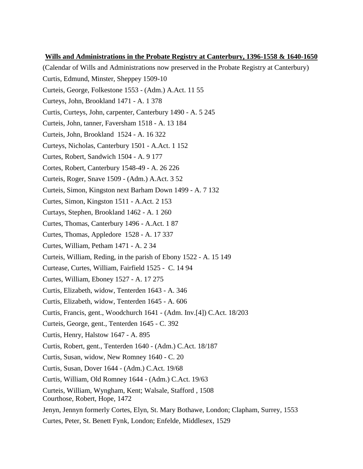#### **Wills and Administrations in the Probate Registry at Canterbury, 1396-1558 & 1640-1650**

(Calendar of Wills and Administrations now preserved in the Probate Registry at Canterbury) Curtis, Edmund, Minster, Sheppey 1509-10 Curteis, George, Folkestone 1553 - (Adm.) A.Act. 11 55 Curteys, John, Brookland 1471 - A. 1 378 Curtis, Curteys, John, carpenter, Canterbury 1490 - A. 5 245 Curteis, John, tanner, Faversham 1518 - A. 13 184 Curteis, John, Brookland 1524 - A. 16 322 Curteys, Nicholas, Canterbury 1501 - A.Act. 1 152 Curtes, Robert, Sandwich 1504 - A. 9 177 Cortes, Robert, Canterbury 1548-49 - A. 26 226 Curteis, Roger, Snave 1509 - (Adm.) A.Act. 3 52 Curteis, Simon, Kingston next Barham Down 1499 - A. 7 132 Curtes, Simon, Kingston 1511 - A.Act. 2 153 Curtays, Stephen, Brookland 1462 - A. 1 260 Curtes, Thomas, Canterbury 1496 - A.Act. 1 87 Curtes, Thomas, Appledore 1528 - A. 17 337 Curtes, William, Petham 1471 - A. 2 34 Curteis, William, Reding, in the parish of Ebony 1522 - A. 15 149 Curtease, Curtes, William, Fairfield 1525 - C. 14 94 Curtes, William, Eboney 1527 - A. 17 275 Curtis, Elizabeth, widow, Tenterden 1643 - A. 346 Curtis, Elizabeth, widow, Tenterden 1645 - A. 606 Curtis, Francis, gent., Woodchurch 1641 - (Adm. Inv.[4]) C.Act. 18/203 Curteis, George, gent., Tenterden 1645 - C. 392 Curtis, Henry, Halstow 1647 - A. 895 Curtis, Robert, gent., Tenterden 1640 - (Adm.) C.Act. 18/187 Curtis, Susan, widow, New Romney 1640 - C. 20 Curtis, Susan, Dover 1644 - (Adm.) C.Act. 19/68 Curtis, William, Old Romney 1644 - (Adm.) C.Act. 19/63 Curteis, William, Wyngham, Kent; Walsale, Stafford , 1508 Courthose, Robert, Hope, 1472 Jenyn, Jennyn formerly Cortes, Elyn, St. Mary Bothawe, London; Clapham, Surrey, 1553 Curtes, Peter, St. Benett Fynk, London; Enfelde, Middlesex, 1529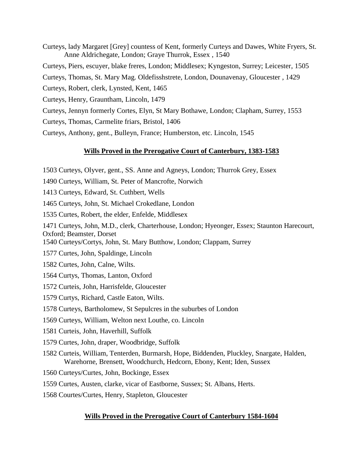- Curteys, lady Margaret [Grey] countess of Kent, formerly Curteys and Dawes, White Fryers, St. Anne Aldrichegate, London; Graye Thurrok, Essex , 1540 Curteys, Piers, escuyer, blake freres, London; Middlesex; Kyngeston, Surrey; Leicester, 1505 Curteys, Thomas, St. Mary Mag. Oldefisshstrete, London, Dounavenay, Gloucester , 1429 Curteys, Robert, clerk, Lynsted, Kent, 1465 Curteys, Henry, Grauntham, Lincoln, 1479 Curteys, Jennyn formerly Cortes, Elyn, St Mary Bothawe, London; Clapham, Surrey, 1553 Curteys, Thomas, Carmelite friars, Bristol, 1406
- Curteys, Anthony, gent., Bulleyn, France; Humberston, etc. Lincoln, 1545

# **Wills Proved in the Prerogative Court of Canterbury, 1383-1583**

- 1503 Curteys, Olyver, gent., SS. Anne and Agneys, London; Thurrok Grey, Essex
- 1490 Curteys, William, St. Peter of Mancrofte, Norwich
- 1413 Curteys, Edward, St. Cuthbert, Wells
- 1465 Curteys, John, St. Michael Crokedlane, London
- 1535 Curtes, Robert, the elder, Enfelde, Middlesex
- 1471 Curteys, John, M.D., clerk, Charterhouse, London; Hyeonger, Essex; Staunton Harecourt, Oxford; Beamster, Dorset
- 1540 Curteys/Cortys, John, St. Mary Butthow, London; Clappam, Surrey
- 1577 Curtes, John, Spaldinge, Lincoln
- 1582 Curtes, John, Calne, Wilts.
- 1564 Curtys, Thomas, Lanton, Oxford
- 1572 Curteis, John, Harrisfelde, Gloucester
- 1579 Curtys, Richard, Castle Eaton, Wilts.
- 1578 Curteys, Bartholomew, St Sepulcres in the suburbes of London
- 1569 Curteys, William, Welton next Louthe, co. Lincoln
- 1581 Curteis, John, Haverhill, Suffolk
- 1579 Curtes, John, draper, Woodbridge, Suffolk
- 1582 Curteis, William, Tenterden, Burmarsh, Hope, Biddenden, Pluckley, Snargate, Halden, Warehorne, Brensett, Woodchurch, Hedcorn, Ebony, Kent; Iden, Sussex
- 1560 Curteys/Curtes, John, Bockinge, Essex
- 1559 Curtes, Austen, clarke, vicar of Eastborne, Sussex; St. Albans, Herts.
- 1568 Courtes/Curtes, Henry, Stapleton, Gloucester

# **Wills Proved in the Prerogative Court of Canterbury 1584-1604**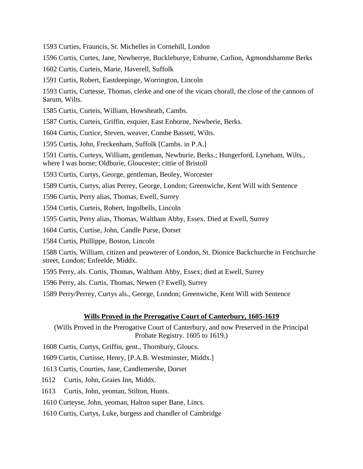1593 Curties, Frauncis, St. Michelles in Cornehill, London

1596 Curtis, Curtes, Jane, Newberrye, Buckleburye, Enburne, Carlion, Agmondshamme Berks

1602 Curtis, Curteis, Marie, Haverell, Suffolk

1591 Curtis, Robert, Eastdeepinge, Worrington, Lincoln

1593 Curtis, Curtesse, Thomas, clerke and one of the vicars chorall, the close of the cannons of Sarum, Wilts.

1585 Curtis, Curteis, William, Howsheath, Cambs.

1587 Curtis, Curteis, Griffin, esquier, East Enborne, Newberie, Berks.

1604 Curtis, Curtice, Steven, weaver, Combe Bassett, Wilts.

1595 Curtis, John, Freckenham, Suffolk [Cambs. in P.A.]

1591 Curtis, Curteys, William, gentleman, Newburie, Berks.; Hungerford, Lyneham, Wilts., where I was borne; Oldburie, Gloucester; cittie of Bristoll

1593 Curtis, Curtys, George, gentleman, Beoley, Worcester

1589 Curtis, Curtys, alias Perrey, George, London; Greenwiche, Kent Will with Sentence

1596 Curtis, Perry alias, Thomas, Ewell, Surrey

1594 Curtis, Curteis, Robert, Ingolbells, Lincoln

1595 Curtis, Perry alias, Thomas, Waltham Abby, Essex. Died at Ewell, Surrey

1604 Curtis, Curtise, John, Candle Purse, Dorset

1584 Curtis, Phillippe, Boston, Lincoln

1588 Curtis, William, citizen and peawterer of London, St. Dionice Backchurche in Fenchurche street, London; Enfeelde, Middx.

1595 Perry, als. Curtis, Thomas, Waltham Abby, Essex; died at Ewell, Surrey

1596 Perry, als. Curtis, Thomas, Newen (? Ewell), Surrey

1589 Perry/Perrey, Curtys als., George, London; Greenwiche, Kent Will with Sentence

# **Wills Proved in the Prerogative Court of Canterbury, 1605-1619**

(Wills Proved in the Prerogative Court of Canterbury, and now Preserved in the Principal Probate Registry. 1605 to 1619.)

1608 Curtis, Curtys, Griffin, gent., Thornbury, Gloucs.

1609 Curtis, Curtisse, Henry, [P.A.B. Westminster, Middx.]

1613 Curtis, Courties, Jane, Candlemershe, Dorset

1612 Curtis, John, Graies Inn, Middx.

1613 Curtis, John, yeoman, Stilton, Hunts.

1610 Curteyse, John, yeoman, Halton super Bane, Lincs.

1610 Curtis, Curtys, Luke, burgess and chandler of Cambridge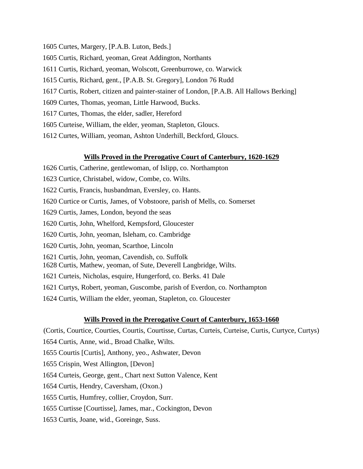- 1605 Curtes, Margery, [P.A.B. Luton, Beds.]
- 1605 Curtis, Richard, yeoman, Great Addington, Northants
- 1611 Curtis, Richard, yeoman, Wolscott, Greenburrowe, co. Warwick
- 1615 Curtis, Richard, gent., [P.A.B. St. Gregory], London 76 Rudd
- 1617 Curtis, Robert, citizen and painter-stainer of London, [P.A.B. All Hallows Berking]
- 1609 Curtes, Thomas, yeoman, Little Harwood, Bucks.
- 1617 Curtes, Thomas, the elder, sadler, Hereford
- 1605 Curteise, William, the elder, yeoman, Stapleton, Gloucs.
- 1612 Curtes, William, yeoman, Ashton Underhill, Beckford, Gloucs.

#### **Wills Proved in the Prerogative Court of Canterbury, 1620-1629**

- 1626 Curtis, Catherine, gentlewoman, of Islipp, co. Northampton
- 1623 Curtice, Christabel, widow, Combe, co. Wilts.
- 1622 Curtis, Francis, husbandman, Eversley, co. Hants.
- 1620 Curtice or Curtis, James, of Vobstoore, parish of Mells, co. Somerset
- 1629 Curtis, James, London, beyond the seas
- 1620 Curtis, John, Whelford, Kempsford, Gloucester
- 1620 Curtis, John, yeoman, Isleham, co. Cambridge
- 1620 Curtis, John, yeoman, Scarthoe, Lincoln
- 1621 Curtis, John, yeoman, Cavendish, co. Suffolk
- 1628 Curtis, Mathew, yeoman, of Sute, Deverell Langbridge, Wilts.
- 1621 Curteis, Nicholas, esquire, Hungerford, co. Berks. 41 Dale
- 1621 Curtys, Robert, yeoman, Guscombe, parish of Everdon, co. Northampton
- 1624 Curtis, William the elder, yeoman, Stapleton, co. Gloucester

#### **Wills Proved in the Prerogative Court of Canterbury, 1653-1660**

(Cortis, Courtice, Courties, Courtis, Courtisse, Curtas, Curteis, Curteise, Curtis, Curtyce, Curtys)

- 1654 Curtis, Anne, wid., Broad Chalke, Wilts.
- 1655 Courtis [Curtis], Anthony, yeo., Ashwater, Devon
- 1655 Crispin, West Allington, [Devon]
- 1654 Curteis, George, gent., Chart next Sutton Valence, Kent
- 1654 Curtis, Hendry, Caversham, (Oxon.)
- 1655 Curtis, Humfrey, collier, Croydon, Surr.
- 1655 Curtisse [Courtisse], James, mar., Cockington, Devon
- 1653 Curtis, Joane, wid., Goreinge, Suss.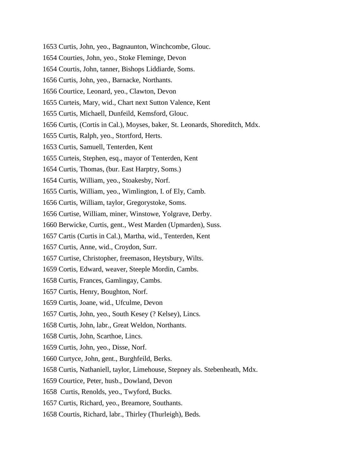- 1653 Curtis, John, yeo., Bagnaunton, Winchcombe, Glouc.
- 1654 Courties, John, yeo., Stoke Fleminge, Devon
- 1654 Courtis, John, tanner, Bishops Liddiarde, Soms.
- 1656 Curtis, John, yeo., Barnacke, Northants.
- 1656 Courtice, Leonard, yeo., Clawton, Devon
- 1655 Curteis, Mary, wid., Chart next Sutton Valence, Kent
- 1655 Curtis, Michaell, Dunfeild, Kemsford, Glouc.
- 1656 Curtis, (Cortis in Cal.), Moyses, baker, St. Leonards, Shoreditch, Mdx.
- 1655 Curtis, Ralph, yeo., Stortford, Herts.
- 1653 Curtis, Samuell, Tenterden, Kent
- 1655 Curteis, Stephen, esq., mayor of Tenterden, Kent
- 1654 Curtis, Thomas, (bur. East Harptry, Soms.)
- 1654 Curtis, William, yeo., Stoakesby, Norf.
- 1655 Curtis, William, yeo., Wimlington, I. of Ely, Camb.
- 1656 Curtis, William, taylor, Gregorystoke, Soms.
- 1656 Curtise, William, miner, Winstowe, Yolgrave, Derby.
- 1660 Berwicke, Curtis, gent., West Marden (Upmarden), Suss.
- 1657 Cartis (Curtis in Cal.), Martha, wid., Tenterden, Kent
- 1657 Curtis, Anne, wid., Croydon, Surr.
- 1657 Curtise, Christopher, freemason, Heytsbury, Wilts.
- 1659 Cortis, Edward, weaver, Steeple Mordin, Cambs.
- 1658 Curtis, Frances, Gamlingay, Cambs.
- 1657 Curtis, Henry, Boughton, Norf.
- 1659 Curtis, Joane, wid., Ufculme, Devon
- 1657 Curtis, John, yeo., South Kesey (? Kelsey), Lincs.
- 1658 Curtis, John, labr., Great Weldon, Northants.
- 1658 Curtis, John, Scarthoe, Lincs.
- 1659 Curtis, John, yeo., Disse, Norf.
- 1660 Curtyce, John, gent., Burghfeild, Berks.
- 1658 Curtis, Nathaniell, taylor, Limehouse, Stepney als. Stebenheath, Mdx.
- 1659 Courtice, Peter, husb., Dowland, Devon
- 1658 Curtis, Renolds, yeo., Twyford, Bucks.
- 1657 Curtis, Richard, yeo., Breamore, Southants.
- 1658 Courtis, Richard, labr., Thirley (Thurleigh), Beds.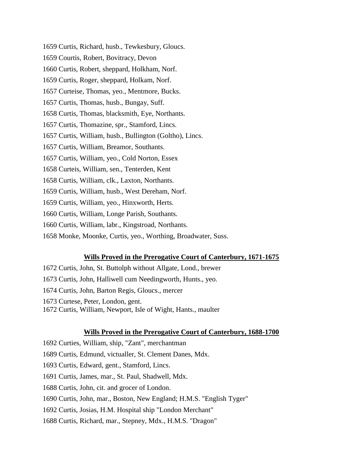1659 Curtis, Richard, husb., Tewkesbury, Gloucs.

1659 Courtis, Robert, Bovitracy, Devon

1660 Curtis, Robert, sheppard, Holkham, Norf.

1659 Curtis, Roger, sheppard, Holkam, Norf.

1657 Curteise, Thomas, yeo., Mentmore, Bucks.

1657 Curtis, Thomas, husb., Bungay, Suff.

1658 Curtis, Thomas, blacksmith, Eye, Northants.

1657 Curtis, Thomazine, spr., Stamford, Lincs.

1657 Curtis, William, husb., Bullington (Goltho), Lincs.

1657 Curtis, William, Breamor, Southants.

1657 Curtis, William, yeo., Cold Norton, Essex

1658 Curteis, William, sen., Tenterden, Kent

1658 Curtis, William, clk., Laxton, Northants.

1659 Curtis, William, husb., West Dereham, Norf.

1659 Curtis, William, yeo., Hinxworth, Herts.

1660 Curtis, William, Longe Parish, Southants.

1660 Curtis, William, labr., Kingstroad, Northants.

1658 Monke, Moonke, Curtis, yeo., Worthing, Broadwater, Suss.

# **Wills Proved in the Prerogative Court of Canterbury, 1671-1675**

- 1672 Curtis, John, St. Buttolph without Allgate, Lond., brewer
- 1673 Curtis, John, Halliwell cum Needingworth, Hunts., yeo.
- 1674 Curtis, John, Barton Regis, Gloucs., mercer
- 1673 Curtese, Peter, London, gent.
- 1672 Curtis, William, Newport, Isle of Wight, Hants., maulter

# **Wills Proved in the Prerogative Court of Canterbury, 1688-1700**

1692 Curties, William, ship, "Zant", merchantman

1689 Curtis, Edmund, victualler, St. Clement Danes, Mdx.

1693 Curtis, Edward, gent., Stamford, Lincs.

1691 Curtis, James, mar., St. Paul, Shadwell, Mdx.

1688 Curtis, John, cit. and grocer of London.

1690 Curtis, John, mar., Boston, New England; H.M.S. "English Tyger"

1692 Curtis, Josias, H.M. Hospital ship "London Merchant"

1688 Curtis, Richard, mar., Stepney, Mdx., H.M.S. "Dragon"